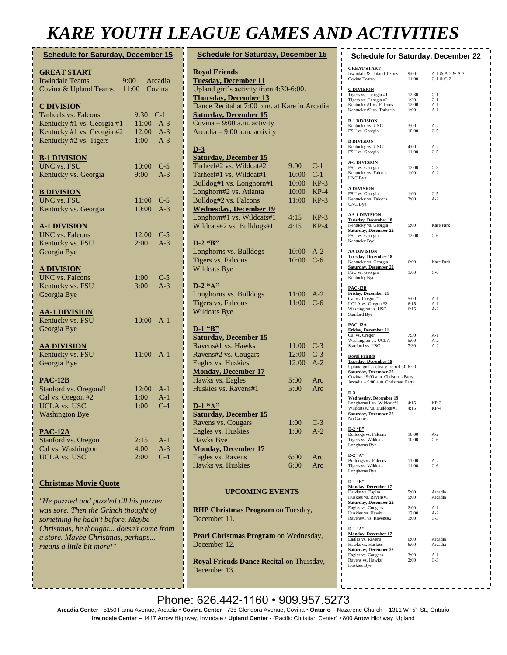## *KARE YOUTH LEAGUE GAMES AND ACTIVITIES*

| <b>Schedule for Saturday, December 15</b>                                                                                                                                                             |                                                       |  |  |
|-------------------------------------------------------------------------------------------------------------------------------------------------------------------------------------------------------|-------------------------------------------------------|--|--|
| <b>GREAT START</b><br><b>Irwindale Teams</b><br>Covina & Upland Teams                                                                                                                                 | Arcadia<br>$9:00^{-}$<br>11:00<br>Covina              |  |  |
| <b>C DIVISION</b><br>Tarheels vs. Falcons<br>Kentucky #1 vs. Georgia #1<br>Kentucky #1 vs. Georgia #2<br>Kentucky #2 vs. Tigers                                                                       | 9:30 C-1<br>$11:00$ A-3<br>12:00 A-3<br>$1:00$ A-3    |  |  |
| <b>B-1 DIVISION</b><br><b>UNC vs. FSU</b><br>Kentucky vs. Georgia                                                                                                                                     | 10:00<br>$C-5$<br>$A-3$<br>$9:00^{-6}$                |  |  |
| <b>B DIVISION</b><br><b>UNC vs. FSU</b><br>Kentucky vs. Georgia                                                                                                                                       | 11:00 C-5<br>$A-3$<br>10:00                           |  |  |
| <u>A-1 DIVISION</u><br><b>UNC</b> vs. Falcons<br>Kentucky vs. FSU<br>Georgia Bye                                                                                                                      | 12:00<br>$C-5$<br>$A-3$<br>2:00                       |  |  |
| <b>A DIVISION</b><br><b>UNC</b> vs. Falcons<br>Kentucky vs. FSU<br>Georgia Bye                                                                                                                        | 1:00<br>$C-5$<br>$A-3$<br>3:00                        |  |  |
| <u>AA-1 DIVISION</u><br>Kentucky vs. FSU<br>Georgia Bye                                                                                                                                               | $10:00$ A-1                                           |  |  |
| <b>AA DIVISION</b><br>Kentucky vs. FSU<br>Georgia Bye                                                                                                                                                 | $11:00$ A-1                                           |  |  |
| <b>PAC-12B</b><br>Stanford vs. Oregon#1<br>Cal vs. Oregon #2<br><b>UCLA vs. USC</b><br><b>Washington Bye</b>                                                                                          | 12:00<br>$A-1$<br>$A-1$<br>1:00<br>$C-4$<br>1:00      |  |  |
| <b>PAC-12A</b><br>Stanford vs. Oregon<br>Cal vs. Washington<br><b>UCLA</b> vs. USC                                                                                                                    | 2:15<br>$A-1$<br>4:00<br>$A-3$<br>$C-4$<br>$2:00^{-}$ |  |  |
| <b>Christmas Movie Quote</b>                                                                                                                                                                          |                                                       |  |  |
| "He puzzled and puzzled till his puzzler<br>was sore. Then the Grinch thought of<br>something he hadn't before. Maybe<br>Christmas, he thought doesn't come from<br>a store. Maybe Christmas, perhaps |                                                       |  |  |

*means a little bit more!"*

| <b>Schedule for Saturday, December 15</b>                |            |                |  |  |
|----------------------------------------------------------|------------|----------------|--|--|
| <b>Royal Friends</b>                                     |            |                |  |  |
| <b>Tuesday, December 11</b>                              |            |                |  |  |
| Upland girl's activity from 4:30-6:00.                   |            |                |  |  |
| <b>Thursday, December 13</b>                             |            |                |  |  |
| Dance Recital at 7:00 p.m. at Kare in Arcadia            |            |                |  |  |
| <b>Saturday, December 15</b>                             |            |                |  |  |
| Covina - 9:00 a.m. activity                              |            |                |  |  |
| Arcadia - 9:00 a.m. activity                             |            |                |  |  |
| D-3                                                      |            |                |  |  |
| <b>Saturday, December 15</b>                             |            |                |  |  |
| Tarheel#2 vs. Wildcat#2                                  | 9:00       | $C-1$          |  |  |
| Tarheel#1 vs. Wildcat#1                                  | 10:00      | $C-1$          |  |  |
| Bulldog#1 vs. Longhorn#1                                 | 10:00      | $KP-3$         |  |  |
| Longhorn#2 vs. Atlanta                                   | 10:00      | $KP-4$         |  |  |
| Bulldog#2 vs. Falcons                                    | 11:00      | KP-3           |  |  |
| <b>Wednesday, December 19</b>                            |            |                |  |  |
| Longhorn#1 vs. Wildcats#1                                | 4:15       | $KP-3$         |  |  |
| Wildcats#2 vs. Bulldogs#1                                | 4:15       | $KP-4$         |  |  |
|                                                          |            |                |  |  |
| D-2 "B"                                                  |            |                |  |  |
| Longhorns vs. Bulldogs                                   | 10:00      | $A-2$<br>$C-6$ |  |  |
| <b>Tigers vs. Falcons</b>                                | 10:00      |                |  |  |
| Wildcats Bye                                             |            |                |  |  |
| $D-2$ "A"                                                |            |                |  |  |
| Longhorns vs. Bulldogs                                   | 11:00      | $A-2$          |  |  |
| <b>Tigers vs. Falcons</b>                                | 11:00      | $C-6$          |  |  |
| <b>Wildcats Bye</b>                                      |            |                |  |  |
| <b>D-1 "B"</b>                                           |            |                |  |  |
| <b>Saturday, December 15</b>                             |            |                |  |  |
| Ravens#1 vs. Hawks                                       | 11:00      | $C-3$          |  |  |
| Ravens#2 vs. Cougars                                     | 12:00      | $C-3$          |  |  |
| Eagles vs. Huskies                                       | 12:00      | $A-2$          |  |  |
| <b>Monday, December 17</b>                               |            |                |  |  |
| Hawks vs. Eagles                                         | 5:00       | Arc            |  |  |
| Huskies vs. Ravens#1                                     | 5:00       | Arc            |  |  |
| $D-1$ "A"                                                |            |                |  |  |
| <b>Saturday, December 15</b>                             |            |                |  |  |
| Ravens vs. Cougars                                       | 1:00       | $C-3$          |  |  |
| Eagles vs. Huskies                                       | 1:00       | A-2            |  |  |
| Hawks Bye                                                |            |                |  |  |
| <b>Monday, December 17</b>                               |            |                |  |  |
| Eagles vs. Ravens                                        | 6:00       | Arc            |  |  |
| Hawks vs. Huskies                                        | $6:00^{-}$ | Arc            |  |  |
|                                                          |            |                |  |  |
|                                                          |            |                |  |  |
| <b>UPCOMING EVENTS</b>                                   |            |                |  |  |
| <b>RHP Christmas Program on Tuesday,</b>                 |            |                |  |  |
| December 11.                                             |            |                |  |  |
| Pearl Christmas Program on Wednesday,<br>December 12.    |            |                |  |  |
| Royal Friends Dance Recital on Thursday,<br>December 13. |            |                |  |  |

|                                                                                                                                                                                                            |                                | <b>Schedule for Saturday, December 22</b> |  |
|------------------------------------------------------------------------------------------------------------------------------------------------------------------------------------------------------------|--------------------------------|-------------------------------------------|--|
| <b>GREAT START</b><br>Irwindale & Upland Teams<br>Covina Teams                                                                                                                                             | 9:00<br>11:00                  | A-1 & A-2 & A-3<br>$C-1 & C-2$            |  |
| <b>C DIVISION</b><br>Tigers vs. Georgia #1<br>Tigers vs. Georgia #2<br>Kentucky #1 vs. Falcons<br>Kentucky #2 vs. Tarheels                                                                                 | 12:30<br>1:30<br>12:00<br>1:00 | $C-1$<br>$C-1$<br>$A-1$<br>$A-1$          |  |
| <b>B-1 DIVISION</b><br>Kentucky vs. UNC<br>FSU vs. Georgia                                                                                                                                                 | 3:00<br>10:00                  | $A-2$<br>$C-5$                            |  |
| <b>B DIVISION</b><br>Kentucky vs. UNC<br>FSU vs. Georgia                                                                                                                                                   | 4:00<br>11:00                  | $A-2$<br>$C-5$                            |  |
| <u>A-1 DIVISION</u><br>FSU vs. Georgia<br>Kentucky vs. Falcons<br>UNC Bye                                                                                                                                  | 12:00<br>1:00                  | $C-5$<br>$A-2$                            |  |
| <u>A DIVISION</u><br>FSU vs. Georgia<br>Kentucky vs. Falcons<br>UNC Bye                                                                                                                                    | 1:00<br>2:00                   | $C-5$<br>$A-2$                            |  |
| <b>AA-1 DIVISION</b><br><b>Tuesday, December 18</b><br>Kentucky vs. Georgia<br><b>Saturday, December 22</b>                                                                                                | 5:00                           | Kare Park                                 |  |
| FSU vs. Georgia<br>Kentucky Bye                                                                                                                                                                            | 12:00                          | $C-6$                                     |  |
| <u>AA DIVISION</u><br><b>Tuesday, December 18</b><br>Kentucky vs. Georgia<br><b>Saturday, December 22</b>                                                                                                  | 6:00                           | Kare Park                                 |  |
| FSU vs. Georgia<br>Kentucky Bye                                                                                                                                                                            | 1:00                           | $C-6$                                     |  |
| <u>PAC-12B</u><br><b>Friday, December 21</b><br>Cal vs. Oregon#1<br>UCLA vs. Oregon #2<br>Washington vs. USC<br>Stanford Bye                                                                               | 5:00<br>6:15<br>6:15           | $A-1$<br>$A-1$<br>$A-2$                   |  |
| <b>PAC-12A</b><br><b>Friday, December 21</b><br>Cal vs. Oregon<br>Washington vs. UCLA<br>Stanford vs. USC                                                                                                  | 7:30<br>5:00<br>7:30           | $A-1$<br>$A-2$<br>$A-2$                   |  |
| <b>Royal Friends</b><br><b>Tuesday, December 18</b><br>Upland girl's activity from 4:30-6:00.<br><b>Saturday, December 22</b><br>Covina - 9:00 a.m. Christmas Party<br>Arcadia - 9:00 a.m. Christmas Party |                                |                                           |  |
| $D-3$<br><b>Wednesday, December 19</b><br>Longhorn#1 vs. Wildcats#1<br>Wildcats#2 vs. Bulldogs#1<br>Saturday, December 22<br>No Games                                                                      | 4:15<br>4:15                   | $KP-3$<br>$KP-4$                          |  |
| $D-2$ "B"<br>Bulldogs vs. Falcons<br>Tigers vs. Wildcats<br>Longhorns Bye                                                                                                                                  | 10:00<br>10:00                 | $A-2$<br>$C-6$                            |  |
| D-2 "A"<br>Bulldogs vs. Falcons<br>Tigers vs. Wildcats<br>Longhorns Bye                                                                                                                                    | 11:00<br>11:00                 | $A-2$<br>$C-6$                            |  |
| $D-1$ "B"<br><b>Monday, December 17</b><br>Hawks vs. Eagles<br>Huskies vs. Ravens#1<br><b>Saturday, December 22</b><br>Eagles vs. Cougars                                                                  | 5:00<br>5:00<br>2:00           | Arcadia<br>Arcadia<br>$A-1$               |  |
| Huskies vs. Hawks<br>Ravens#1 vs. Ravens#2                                                                                                                                                                 | 12:00<br>1:00                  | $A-2$<br>$C-3$                            |  |
| $D-1$ " $A$ "<br><b>Monday, December 17</b><br>Eagles vs. Ravens<br>Hawks vs. Huskies                                                                                                                      | 6:00<br>6:00                   | Arcadia<br>Arcadia                        |  |
| <b>Saturday, December 22</b><br>Eagles vs. Cougars<br>Ravens vs. Hawks<br>Huskies Bye                                                                                                                      | 3:00<br>2:00                   | $A-1$<br>$C-3$                            |  |
|                                                                                                                                                                                                            |                                |                                           |  |

Phone: 626.442-1160 · 909.957.5273 20 through Saturday, January 5. Regular 5. Regular 5. Regular 5. Regular 5. Regular 5. Regular 5. Regular 5. R